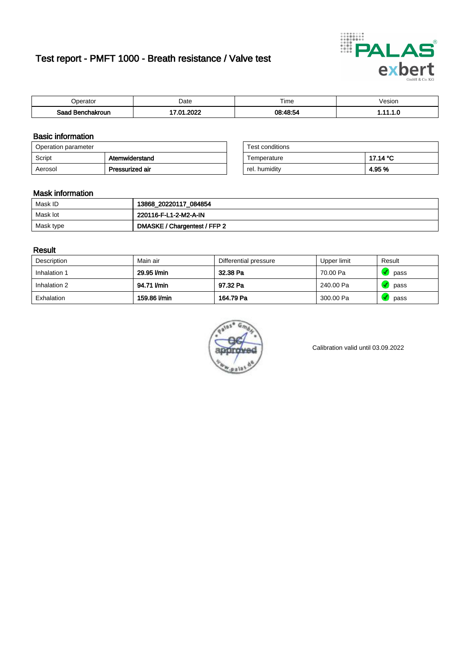# Test report - PMFT 1000 - Breath resistance / Valve test



| 'perator         | Date                      | $- \cdot$<br><b>Time</b> | /esion |
|------------------|---------------------------|--------------------------|--------|
| Saad Benchakroun | ാറാറ<br>$\mathbf{r}$<br>. | 08.18.54                 | .      |

### Basic information

| Operation parameter |                 | Test conditions |          |
|---------------------|-----------------|-----------------|----------|
| Script              | Atemwiderstand  | Temperature     | 17.14 °C |
| Aerosol             | Pressurized air | rel. humidity   | 4.95%    |

| Test conditions |          |
|-----------------|----------|
| Temperature     | 17.14 °C |
| rel. humidity   | 4.95 %   |

#### Mask information

| Mask ID   | 13868_20220117_084854        |
|-----------|------------------------------|
| Mask lot  | 220116-F-L1-2-M2-A-IN        |
| Mask type | DMASKE / Chargentest / FFP 2 |

### Result

| Description  | Main air     | Differential pressure | Upper limit | Result |
|--------------|--------------|-----------------------|-------------|--------|
| Inhalation 1 | 29.95 l/min  | 32.38 Pa              | 70.00 Pa    | pass   |
| Inhalation 2 | 94.71 l/min  | 97.32 Pa              | 240.00 Pa   | pass   |
| Exhalation   | 159.86 l/min | 164.79 Pa             | 300.00 Pa   | pass   |



Calibration valid until 03.09.2022